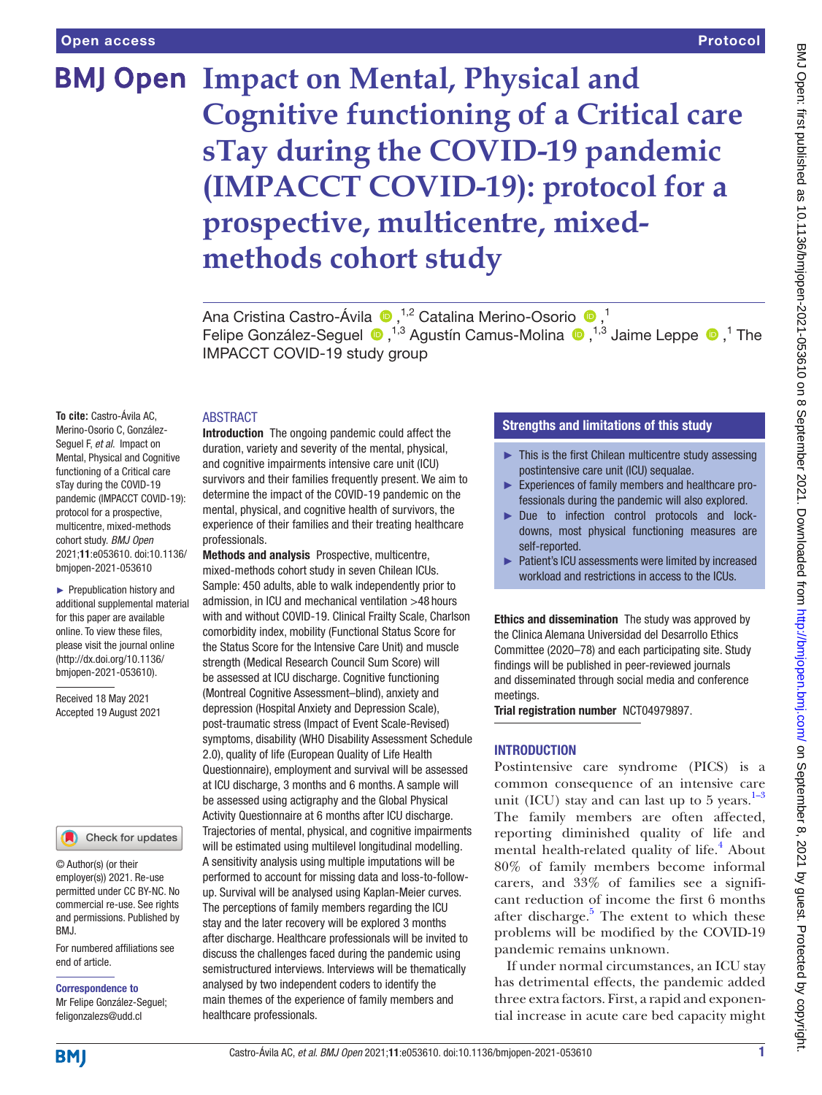# **BMJ Open Impact on Mental, Physical and Cognitive functioning of a Critical care sTay during the COVID-19 pandemic (IMPACCT COVID-19): protocol for a prospective, multicentre, mixedmethods cohort study**

Ana Cristina Castro-Ávila <sup>(1,2</sup> Catalina Merino-Osorio <sup>(1,1</sup>)<sup>1</sup> FelipeGonzález-Seguel <sup>®</sup>,<sup>1,3</sup> Agustín Camus-Molina <sup>®</sup>,<sup>1,3</sup> Jaime Leppe <sup>®</sup>,<sup>1</sup> The IMPACCT COVID-19 study group

#### **ABSTRACT**

**To cite:** Castro-Ávila AC, Merino-Osorio C, González-Seguel F, *et al*. Impact on Mental, Physical and Cognitive functioning of a Critical care sTay during the COVID-19 pandemic (IMPACCT COVID-19): protocol for a prospective, multicentre, mixed-methods cohort study. *BMJ Open* 2021;11:e053610. doi:10.1136/ bmjopen-2021-053610

► Prepublication history and additional supplemental material for this paper are available online. To view these files, please visit the journal online [\(http://dx.doi.org/10.1136/](http://dx.doi.org/10.1136/bmjopen-2021-053610) [bmjopen-2021-053610](http://dx.doi.org/10.1136/bmjopen-2021-053610)).

Received 18 May 2021 Accepted 19 August 2021

#### Check for updates

© Author(s) (or their employer(s)) 2021. Re-use permitted under CC BY-NC. No commercial re-use. See rights and permissions. Published by BMJ.

For numbered affiliations see end of article.

Correspondence to Mr Felipe González-Seguel; feligonzalezs@udd.cl

Introduction The ongoing pandemic could affect the duration, variety and severity of the mental, physical, and cognitive impairments intensive care unit (ICU) survivors and their families frequently present. We aim to determine the impact of the COVID-19 pandemic on the mental, physical, and cognitive health of survivors, the experience of their families and their treating healthcare professionals.

Methods and analysis Prospective, multicentre, mixed-methods cohort study in seven Chilean ICUs. Sample: 450 adults, able to walk independently prior to admission, in ICU and mechanical ventilation >48 hours with and without COVID-19. Clinical Frailty Scale, Charlson comorbidity index, mobility (Functional Status Score for the Status Score for the Intensive Care Unit) and muscle strength (Medical Research Council Sum Score) will be assessed at ICU discharge. Cognitive functioning (Montreal Cognitive Assessment–blind), anxiety and depression (Hospital Anxiety and Depression Scale), post-traumatic stress (Impact of Event Scale-Revised) symptoms, disability (WHO Disability Assessment Schedule 2.0), quality of life (European Quality of Life Health Questionnaire), employment and survival will be assessed at ICU discharge, 3 months and 6 months. A sample will be assessed using actigraphy and the Global Physical Activity Questionnaire at 6 months after ICU discharge. Trajectories of mental, physical, and cognitive impairments will be estimated using multilevel longitudinal modelling. A sensitivity analysis using multiple imputations will be performed to account for missing data and loss-to-followup. Survival will be analysed using Kaplan-Meier curves. The perceptions of family members regarding the ICU stay and the later recovery will be explored 3 months after discharge. Healthcare professionals will be invited to discuss the challenges faced during the pandemic using semistructured interviews. Interviews will be thematically analysed by two independent coders to identify the main themes of the experience of family members and healthcare professionals.

# Strengths and limitations of this study

- $\blacktriangleright$  This is the first Chilean multicentre study assessing postintensive care unit (ICU) sequalae.
- ► Experiences of family members and healthcare professionals during the pandemic will also explored.
- ► Due to infection control protocols and lockdowns, most physical functioning measures are self-reported.
- ► Patient's ICU assessments were limited by increased workload and restrictions in access to the ICUs.

Ethics and dissemination The study was approved by the Clinica Alemana Universidad del Desarrollo Ethics Committee (2020–78) and each participating site. Study findings will be published in peer-reviewed journals and disseminated through social media and conference meetings.

Trial registration number [NCT04979897.](NCT04979897)

#### **INTRODUCTION**

Postintensive care syndrome (PICS) is a common consequence of an intensive care unit (ICU) stay and can last up to 5 years. $1-3$ The family members are often affected, reporting diminished quality of life and mental health-related quality of life.<sup>4</sup> About 80% of family members become informal carers, and 33% of families see a significant reduction of income the first 6 months after discharge.<sup>5</sup> The extent to which these problems will be modified by the COVID-19 pandemic remains unknown.

If under normal circumstances, an ICU stay has detrimental effects, the pandemic added three extra factors. First, a rapid and exponential increase in acute care bed capacity might

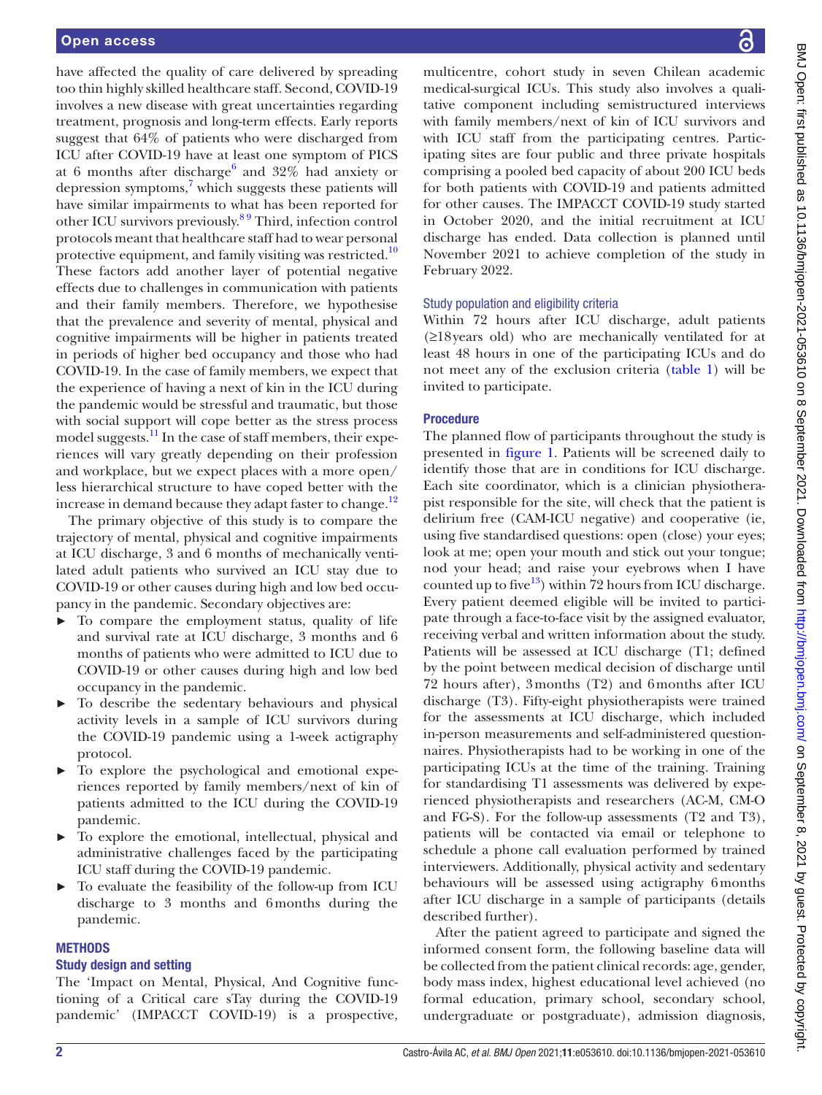have affected the quality of care delivered by spreading too thin highly skilled healthcare staff. Second, COVID-19 involves a new disease with great uncertainties regarding treatment, prognosis and long-term effects. Early reports suggest that 64% of patients who were discharged from ICU after COVID-19 have at least one symptom of PICS at [6](#page-8-3) months after discharge $^6$  and  $32\%$  had anxiety or depression symptoms,<sup>[7](#page-8-4)</sup> which suggests these patients will have similar impairments to what has been reported for other ICU survivors previously.[8 9](#page-8-5) Third, infection control protocols meant that healthcare staff had to wear personal protective equipment, and family visiting was restricted.<sup>10</sup> These factors add another layer of potential negative effects due to challenges in communication with patients and their family members. Therefore, we hypothesise that the prevalence and severity of mental, physical and cognitive impairments will be higher in patients treated in periods of higher bed occupancy and those who had COVID-19. In the case of family members, we expect that the experience of having a next of kin in the ICU during the pandemic would be stressful and traumatic, but those with social support will cope better as the stress process model suggests.<sup>[11](#page-8-7)</sup> In the case of staff members, their experiences will vary greatly depending on their profession and workplace, but we expect places with a more open/ less hierarchical structure to have coped better with the increase in demand because they adapt faster to change.<sup>12</sup>

The primary objective of this study is to compare the trajectory of mental, physical and cognitive impairments at ICU discharge, 3 and 6 months of mechanically ventilated adult patients who survived an ICU stay due to COVID-19 or other causes during high and low bed occupancy in the pandemic. Secondary objectives are:

- ► To compare the employment status, quality of life and survival rate at ICU discharge, 3 months and 6 months of patients who were admitted to ICU due to COVID-19 or other causes during high and low bed occupancy in the pandemic.
- ► To describe the sedentary behaviours and physical activity levels in a sample of ICU survivors during the COVID-19 pandemic using a 1-week actigraphy protocol.
- To explore the psychological and emotional experiences reported by family members/next of kin of patients admitted to the ICU during the COVID-19 pandemic.
- ► To explore the emotional, intellectual, physical and administrative challenges faced by the participating ICU staff during the COVID-19 pandemic.
- To evaluate the feasibility of the follow-up from ICU discharge to 3 months and 6months during the pandemic.

#### **METHODS**

#### Study design and setting

The 'Impact on Mental, Physical, And Cognitive functioning of a Critical care sTay during the COVID-19 pandemic' (IMPACCT COVID-19) is a prospective,

multicentre, cohort study in seven Chilean academic medical-surgical ICUs. This study also involves a qualitative component including semistructured interviews with family members/next of kin of ICU survivors and with ICU staff from the participating centres. Participating sites are four public and three private hospitals comprising a pooled bed capacity of about 200 ICU beds for both patients with COVID-19 and patients admitted for other causes. The IMPACCT COVID-19 study started in October 2020, and the initial recruitment at ICU discharge has ended. Data collection is planned until November 2021 to achieve completion of the study in February 2022.

#### Study population and eligibility criteria

Within 72 hours after ICU discharge, adult patients (≥18years old) who are mechanically ventilated for at least 48 hours in one of the participating ICUs and do not meet any of the exclusion criteria [\(table](#page-2-0) 1) will be invited to participate.

### **Procedure**

The planned flow of participants throughout the study is presented in [figure](#page-3-0) 1. Patients will be screened daily to identify those that are in conditions for ICU discharge. Each site coordinator, which is a clinician physiotherapist responsible for the site, will check that the patient is delirium free (CAM-ICU negative) and cooperative (ie, using five standardised questions: open (close) your eyes; look at me; open your mouth and stick out your tongue; nod your head; and raise your eyebrows when I have counted up to five<sup>13</sup>) within 72 hours from ICU discharge. Every patient deemed eligible will be invited to participate through a face-to-face visit by the assigned evaluator, receiving verbal and written information about the study. Patients will be assessed at ICU discharge (T1; defined by the point between medical decision of discharge until 72 hours after), 3months (T2) and 6months after ICU discharge (T3). Fifty-eight physiotherapists were trained for the assessments at ICU discharge, which included in-person measurements and self-administered questionnaires. Physiotherapists had to be working in one of the participating ICUs at the time of the training. Training for standardising T1 assessments was delivered by experienced physiotherapists and researchers (AC-M, CM-O and FG-S). For the follow-up assessments (T2 and T3), patients will be contacted via email or telephone to schedule a phone call evaluation performed by trained interviewers. Additionally, physical activity and sedentary behaviours will be assessed using actigraphy 6months after ICU discharge in a sample of participants (details described further).

After the patient agreed to participate and signed the informed consent form, the following baseline data will be collected from the patient clinical records: age, gender, body mass index, highest educational level achieved (no formal education, primary school, secondary school, undergraduate or postgraduate), admission diagnosis,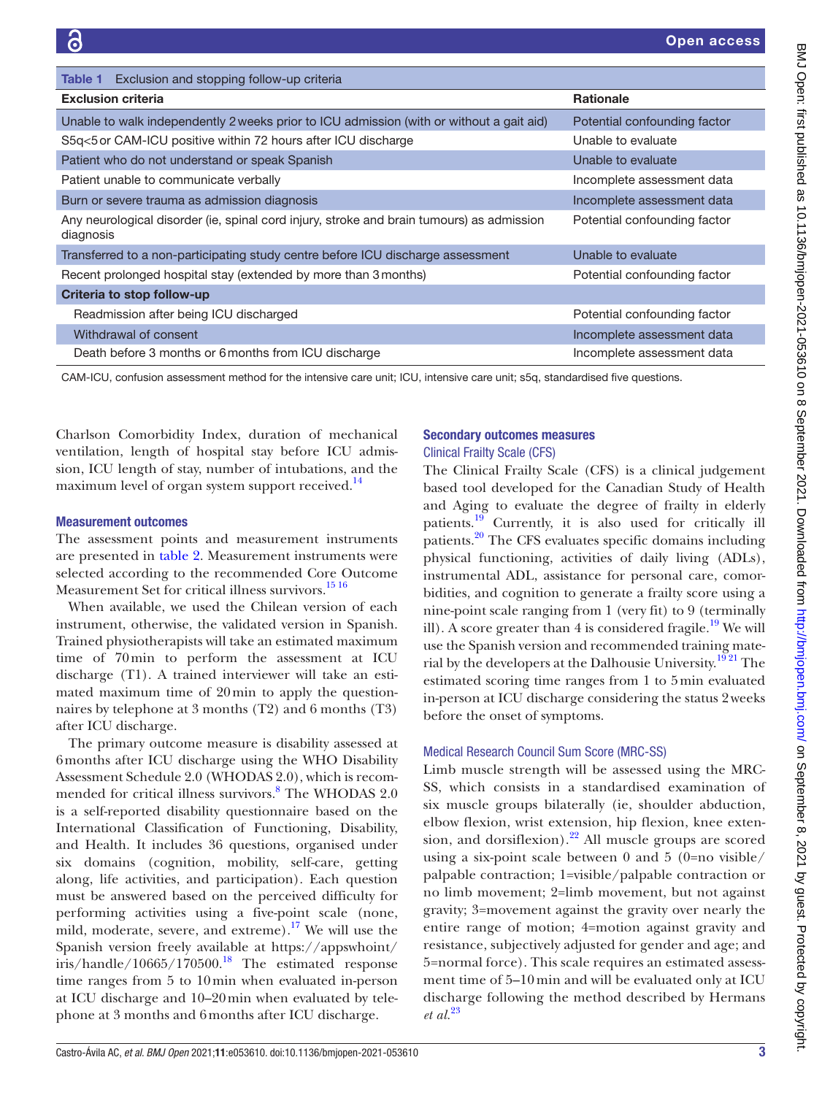<span id="page-2-0"></span>

| <b>Table 1</b> Exclusion and stopping follow-up criteria                                               |                              |
|--------------------------------------------------------------------------------------------------------|------------------------------|
| <b>Exclusion criteria</b>                                                                              | <b>Rationale</b>             |
| Unable to walk independently 2 weeks prior to ICU admission (with or without a gait aid)               | Potential confounding factor |
| S5q<5 or CAM-ICU positive within 72 hours after ICU discharge                                          | Unable to evaluate           |
| Patient who do not understand or speak Spanish                                                         | Unable to evaluate           |
| Patient unable to communicate verbally                                                                 | Incomplete assessment data   |
| Burn or severe trauma as admission diagnosis                                                           | Incomplete assessment data   |
| Any neurological disorder (ie, spinal cord injury, stroke and brain tumours) as admission<br>diagnosis | Potential confounding factor |
| Transferred to a non-participating study centre before ICU discharge assessment                        | Unable to evaluate           |
| Recent prolonged hospital stay (extended by more than 3 months)                                        | Potential confounding factor |
| Criteria to stop follow-up                                                                             |                              |
| Readmission after being ICU discharged                                                                 | Potential confounding factor |
| Withdrawal of consent                                                                                  | Incomplete assessment data   |
| Death before 3 months or 6 months from ICU discharge                                                   | Incomplete assessment data   |

CAM-ICU, confusion assessment method for the intensive care unit; ICU, intensive care unit; s5q, standardised five questions.

Charlson Comorbidity Index, duration of mechanical ventilation, length of hospital stay before ICU admission, ICU length of stay, number of intubations, and the maximum level of organ system support received.<sup>[14](#page-8-10)</sup>

#### Measurement outcomes

The assessment points and measurement instruments are presented in [table](#page-4-0) 2. Measurement instruments were selected according to the recommended Core Outcome Measurement Set for critical illness survivors.<sup>[15 16](#page-8-11)</sup>

When available, we used the Chilean version of each instrument, otherwise, the validated version in Spanish. Trained physiotherapists will take an estimated maximum time of 70min to perform the assessment at ICU discharge (T1). A trained interviewer will take an estimated maximum time of 20min to apply the questionnaires by telephone at 3 months (T2) and 6 months (T3) after ICU discharge.

The primary outcome measure is disability assessed at 6months after ICU discharge using the WHO Disability Assessment Schedule 2.0 (WHODAS 2.0), which is recom-mended for critical illness survivors.<sup>[8](#page-8-5)</sup> The WHODAS 2.0 is a self-reported disability questionnaire based on the International Classification of Functioning, Disability, and Health. It includes 36 questions, organised under six domains (cognition, mobility, self-care, getting along, life activities, and participation). Each question must be answered based on the perceived difficulty for performing activities using a five-point scale (none, mild, moderate, severe, and extreme).<sup>17</sup> We will use the Spanish version freely available at [https://appswhoint/](https://appswhoint/iris/handle/10665/170500) [iris/handle/10665/170500.](https://appswhoint/iris/handle/10665/170500)<sup>[18](#page-8-13)</sup> The estimated response time ranges from 5 to 10min when evaluated in-person at ICU discharge and 10–20min when evaluated by telephone at 3 months and 6months after ICU discharge.

#### Secondary outcomes measures Clinical Frailty Scale (CFS)

The Clinical Frailty Scale (CFS) is a clinical judgement based tool developed for the Canadian Study of Health and Aging to evaluate the degree of frailty in elderly patients.<sup>19</sup> Currently, it is also used for critically ill patients.[20](#page-8-15) The CFS evaluates specific domains including physical functioning, activities of daily living (ADLs), instrumental ADL, assistance for personal care, comorbidities, and cognition to generate a frailty score using a nine-point scale ranging from 1 (very fit) to 9 (terminally ill). A score greater than  $4$  is considered fragile.<sup>19</sup> We will use the Spanish version and recommended training material by the developers at the Dalhousie University.<sup>1921</sup> The estimated scoring time ranges from 1 to 5min evaluated in-person at ICU discharge considering the status 2weeks before the onset of symptoms.

## Medical Research Council Sum Score (MRC-SS)

Limb muscle strength will be assessed using the MRC-SS, which consists in a standardised examination of six muscle groups bilaterally (ie, shoulder abduction, elbow flexion, wrist extension, hip flexion, knee extension, and dorsiflexion).<sup>22</sup> All muscle groups are scored using a six-point scale between 0 and 5 (0=no visible/ palpable contraction; 1=visible/palpable contraction or no limb movement; 2=limb movement, but not against gravity; 3=movement against the gravity over nearly the entire range of motion; 4=motion against gravity and resistance, subjectively adjusted for gender and age; and 5=normal force). This scale requires an estimated assessment time of 5–10 min and will be evaluated only at ICU discharge following the method described by Hermans *et al.*[23](#page-8-17)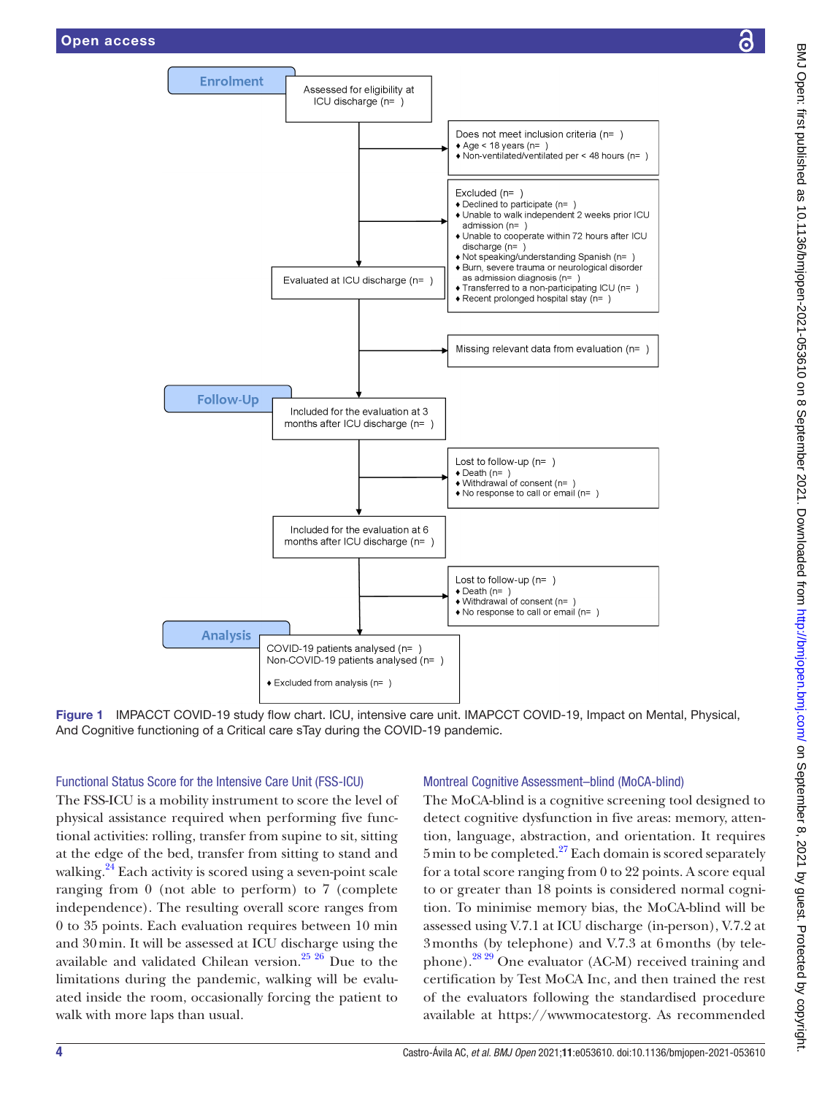

Figure 1 IMPACCT COVID-19 study flow chart. ICU, intensive care unit. IMAPCCT COVID-19, Impact on Mental, Physical, And Cognitive functioning of a Critical care sTay during the COVID-19 pandemic.

## Functional Status Score for the Intensive Care Unit (FSS-ICU)

The FSS-ICU is a mobility instrument to score the level of physical assistance required when performing five functional activities: rolling, transfer from supine to sit, sitting at the edge of the bed, transfer from sitting to stand and walking.<sup>24</sup> Each activity is scored using a seven-point scale ranging from 0 (not able to perform) to 7 (complete independence). The resulting overall score ranges from 0 to 35 points. Each evaluation requires between 10 min and 30min. It will be assessed at ICU discharge using the available and validated Chilean version. $25\frac{26}{1}$  Due to the limitations during the pandemic, walking will be evaluated inside the room, occasionally forcing the patient to walk with more laps than usual.

## <span id="page-3-0"></span>Montreal Cognitive Assessment–blind (MoCA-blind)

The MoCA-blind is a cognitive screening tool designed to detect cognitive dysfunction in five areas: memory, attention, language, abstraction, and orientation. It requires  $5 \text{min}$  to be completed.<sup>27</sup> Each domain is scored separately for a total score ranging from 0 to 22 points. A score equal to or greater than 18 points is considered normal cognition. To minimise memory bias, the MoCA-blind will be assessed using V.7.1 at ICU discharge (in-person), V.7.2 at 3months (by telephone) and V.7.3 at 6months (by telephone). $^{28\,29}$  One evaluator (AC-M) received training and certification by Test MoCA Inc, and then trained the rest of the evaluators following the standardised procedure available at [https://wwwmocatestorg.](https://wwwmocatestorg) As recommended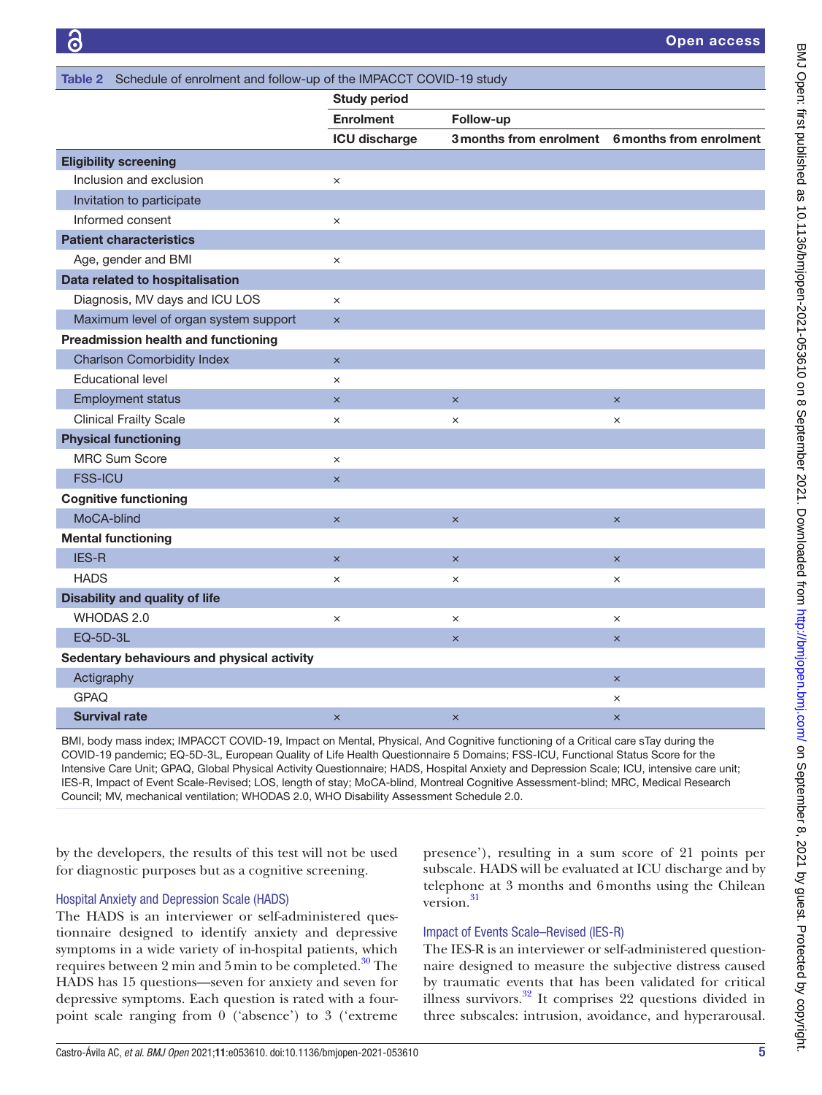<span id="page-4-0"></span>

|                                            | <b>Study period</b>     |                       |                                                 |
|--------------------------------------------|-------------------------|-----------------------|-------------------------------------------------|
|                                            | <b>Enrolment</b>        | Follow-up             |                                                 |
|                                            | <b>ICU discharge</b>    |                       | 3 months from enrolment 6 months from enrolment |
| <b>Eligibility screening</b>               |                         |                       |                                                 |
| Inclusion and exclusion                    | $\times$                |                       |                                                 |
| Invitation to participate                  |                         |                       |                                                 |
| Informed consent                           | $\times$                |                       |                                                 |
| <b>Patient characteristics</b>             |                         |                       |                                                 |
| Age, gender and BMI                        | $\times$                |                       |                                                 |
| Data related to hospitalisation            |                         |                       |                                                 |
| Diagnosis, MV days and ICU LOS             | $\times$                |                       |                                                 |
| Maximum level of organ system support      | $\boldsymbol{\times}$   |                       |                                                 |
| <b>Preadmission health and functioning</b> |                         |                       |                                                 |
| <b>Charlson Comorbidity Index</b>          | $\boldsymbol{\times}$   |                       |                                                 |
| <b>Educational level</b>                   | $\times$                |                       |                                                 |
| <b>Employment status</b>                   | $\boldsymbol{\times}$   | $\times$              | $\overline{\mathsf{x}}$                         |
| <b>Clinical Frailty Scale</b>              | $\times$                | $\times$              | $\times$                                        |
| <b>Physical functioning</b>                |                         |                       |                                                 |
| <b>MRC Sum Score</b>                       | $\times$                |                       |                                                 |
| <b>FSS-ICU</b>                             | $\boldsymbol{\times}$   |                       |                                                 |
| <b>Cognitive functioning</b>               |                         |                       |                                                 |
| MoCA-blind                                 | $\overline{\mathsf{x}}$ | $\times$              | $\times$                                        |
| <b>Mental functioning</b>                  |                         |                       |                                                 |
| <b>IES-R</b>                               | $\mathsf{x}$            | $\times$              | $\times$                                        |
| <b>HADS</b>                                | $\times$                | ×                     | ×                                               |
| <b>Disability and quality of life</b>      |                         |                       |                                                 |
| WHODAS 2.0                                 | $\times$                | $\times$              | $\times$                                        |
| EQ-5D-3L                                   |                         | $\boldsymbol{\times}$ | $\times$                                        |
| Sedentary behaviours and physical activity |                         |                       |                                                 |
| Actigraphy                                 |                         |                       | $\times$                                        |
| GPAQ                                       |                         |                       | $\times$                                        |
| <b>Survival rate</b>                       | $\boldsymbol{\times}$   | $\times$              | $\times$                                        |

BMI, body mass index; IMPACCT COVID-19, Impact on Mental, Physical, And Cognitive functioning of a Critical care sTay during the COVID-19 pandemic; EQ-5D-3L, European Quality of Life Health Questionnaire 5 Domains; FSS-ICU, Functional Status Score for the Intensive Care Unit; GPAQ, Global Physical Activity Questionnaire; HADS, Hospital Anxiety and Depression Scale; ICU, intensive care unit; IES-R, Impact of Event Scale-Revised; LOS, length of stay; MoCA-blind, Montreal Cognitive Assessment-blind; MRC, Medical Research Council; MV, mechanical ventilation; WHODAS 2.0, WHO Disability Assessment Schedule 2.0.

by the developers, the results of this test will not be used for diagnostic purposes but as a cognitive screening.

## Hospital Anxiety and Depression Scale (HADS)

The HADS is an interviewer or self-administered questionnaire designed to identify anxiety and depressive symptoms in a wide variety of in-hospital patients, which requires between 2 min and 5 min to be completed. $30$  The HADS has 15 questions—seven for anxiety and seven for depressive symptoms. Each question is rated with a fourpoint scale ranging from 0 ('absence') to 3 ('extreme

presence'), resulting in a sum score of 21 points per subscale. HADS will be evaluated at ICU discharge and by telephone at 3 months and 6months using the Chilean version.<sup>[31](#page-9-3)</sup>

## Impact of Events Scale–Revised (IES-R)

The IES-R is an interviewer or self-administered questionnaire designed to measure the subjective distress caused by traumatic events that has been validated for critical illness survivors.[32](#page-9-4) It comprises 22 questions divided in three subscales: intrusion, avoidance, and hyperarousal.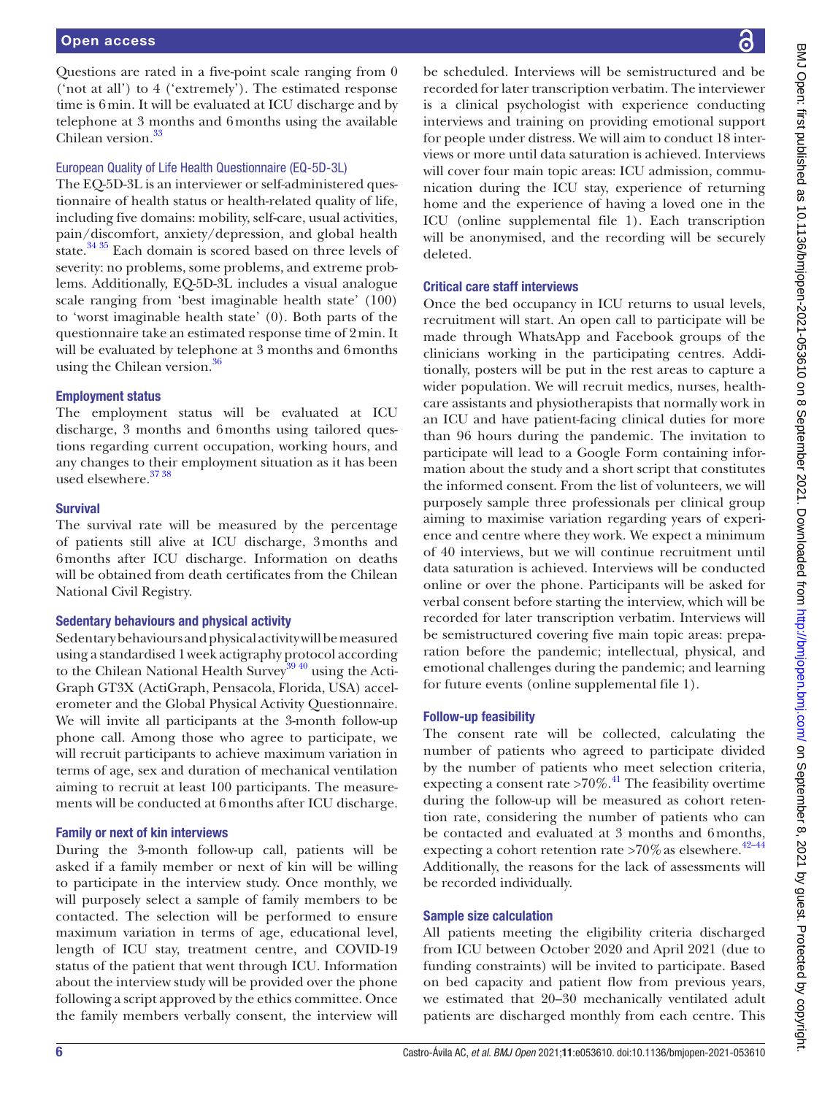Questions are rated in a five-point scale ranging from 0 ('not at all') to 4 ('extremely'). The estimated response time is 6min. It will be evaluated at ICU discharge and by telephone at 3 months and 6months using the available Chilean version.<sup>33</sup>

## European Quality of Life Health Questionnaire (EQ-5D-3L)

The EQ-5D-3L is an interviewer or self-administered questionnaire of health status or health-related quality of life, including five domains: mobility, self-care, usual activities, pain/discomfort, anxiety/depression, and global health state.<sup>34 35</sup> Each domain is scored based on three levels of severity: no problems, some problems, and extreme problems. Additionally, EQ-5D-3L includes a visual analogue scale ranging from 'best imaginable health state' (100) to 'worst imaginable health state' (0). Both parts of the questionnaire take an estimated response time of 2min. It will be evaluated by telephone at 3 months and 6months using the Chilean version.<sup>[36](#page-9-7)</sup>

# Employment status

The employment status will be evaluated at ICU discharge, 3 months and 6months using tailored questions regarding current occupation, working hours, and any changes to their employment situation as it has been used elsewhere.<sup>37</sup><sup>38</sup>

## Survival

The survival rate will be measured by the percentage of patients still alive at ICU discharge, 3months and 6months after ICU discharge. Information on deaths will be obtained from death certificates from the Chilean National Civil Registry.

## Sedentary behaviours and physical activity

Sedentary behaviours and physical activity will be measured using a standardised 1week actigraphy protocol according to the Chilean National Health Survey<sup>3940</sup> using the Acti-Graph GT3X (ActiGraph, Pensacola, Florida, USA) accelerometer and the Global Physical Activity Questionnaire. We will invite all participants at the 3-month follow-up phone call. Among those who agree to participate, we will recruit participants to achieve maximum variation in terms of age, sex and duration of mechanical ventilation aiming to recruit at least 100 participants. The measurements will be conducted at 6months after ICU discharge.

## Family or next of kin interviews

During the 3-month follow-up call, patients will be asked if a family member or next of kin will be willing to participate in the interview study. Once monthly, we will purposely select a sample of family members to be contacted. The selection will be performed to ensure maximum variation in terms of age, educational level, length of ICU stay, treatment centre, and COVID-19 status of the patient that went through ICU. Information about the interview study will be provided over the phone following a script approved by the ethics committee. Once the family members verbally consent, the interview will

be scheduled. Interviews will be semistructured and be recorded for later transcription verbatim. The interviewer is a clinical psychologist with experience conducting interviews and training on providing emotional support for people under distress. We will aim to conduct 18 interviews or more until data saturation is achieved. Interviews will cover four main topic areas: ICU admission, communication during the ICU stay, experience of returning home and the experience of having a loved one in the ICU [\(online supplemental file 1](https://dx.doi.org/10.1136/bmjopen-2021-053610)). Each transcription will be anonymised, and the recording will be securely deleted.

# Critical care staff interviews

Once the bed occupancy in ICU returns to usual levels, recruitment will start. An open call to participate will be made through WhatsApp and Facebook groups of the clinicians working in the participating centres. Additionally, posters will be put in the rest areas to capture a wider population. We will recruit medics, nurses, healthcare assistants and physiotherapists that normally work in an ICU and have patient-facing clinical duties for more than 96 hours during the pandemic. The invitation to participate will lead to a Google Form containing information about the study and a short script that constitutes the informed consent. From the list of volunteers, we will purposely sample three professionals per clinical group aiming to maximise variation regarding years of experience and centre where they work. We expect a minimum of 40 interviews, but we will continue recruitment until data saturation is achieved. Interviews will be conducted online or over the phone. Participants will be asked for verbal consent before starting the interview, which will be recorded for later transcription verbatim. Interviews will be semistructured covering five main topic areas: preparation before the pandemic; intellectual, physical, and emotional challenges during the pandemic; and learning for future events ([online supplemental file 1](https://dx.doi.org/10.1136/bmjopen-2021-053610)).

## Follow-up feasibility

The consent rate will be collected, calculating the number of patients who agreed to participate divided by the number of patients who meet selection criteria, expecting a consent rate  $>70\%$ .<sup>[41](#page-9-10)</sup> The feasibility overtime during the follow-up will be measured as cohort retention rate, considering the number of patients who can be contacted and evaluated at 3 months and 6months, expecting a cohort retention rate  $>70\%$  as elsewhere.<sup>42-44</sup> Additionally, the reasons for the lack of assessments will be recorded individually.

# Sample size calculation

All patients meeting the eligibility criteria discharged from ICU between October 2020 and April 2021 (due to funding constraints) will be invited to participate. Based on bed capacity and patient flow from previous years, we estimated that 20–30 mechanically ventilated adult patients are discharged monthly from each centre. This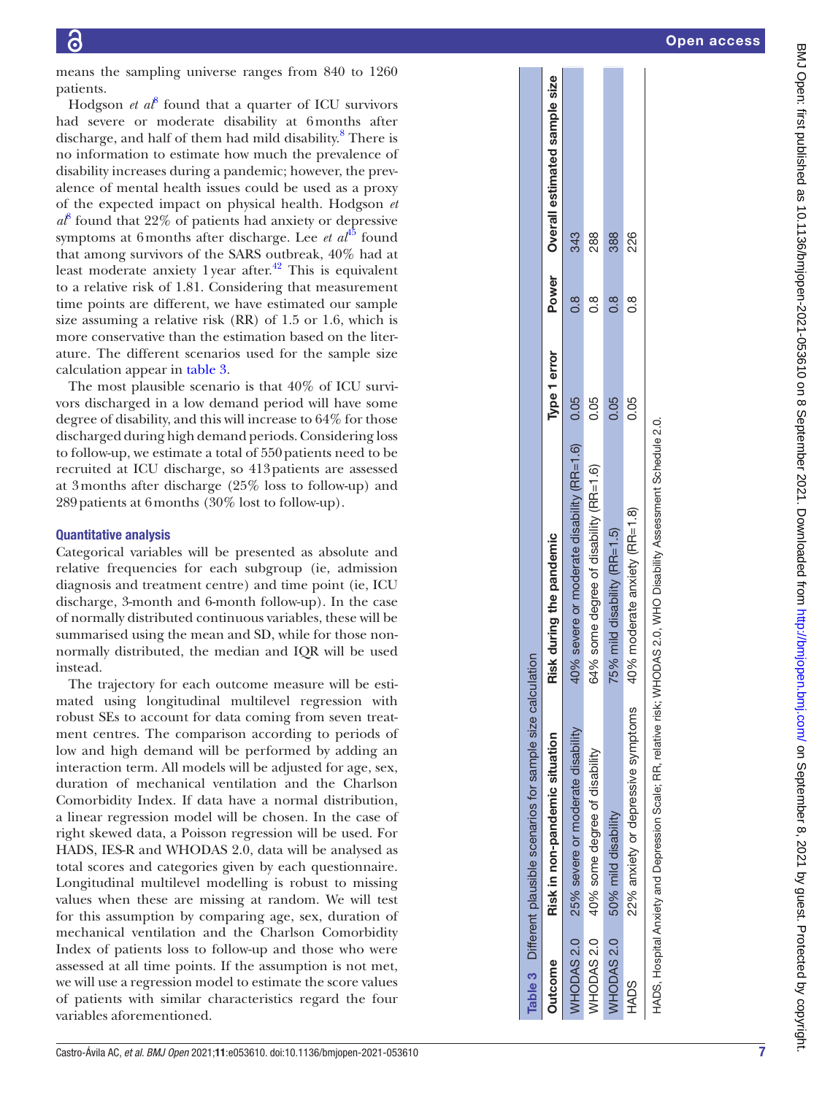means the sampling universe ranges from 840 to 1260 patients.

Hodgson *et a* $\ell$ <sup>[8](#page-8-5)</sup> found that a quarter of ICU survivors had severe or moderate disability at 6months after discharge, and half of them had mild disability. [8](#page-8-5) There is no information to estimate how much the prevalence of disability increases during a pandemic; however, the prevalence of mental health issues could be used as a proxy of the expected impact on physical health. Hodgson *et*   $a<sup>8</sup>$  $a<sup>8</sup>$  $a<sup>8</sup>$  found that 22% of patients had anxiety or depressive symptoms at 6 months after discharge. Lee *et al*<sup>[45](#page-9-12)</sup> found that among survivors of the SARS outbreak, 40% had at least moderate anxiety 1 year after.<sup>[42](#page-9-11)</sup> This is equivalent to a relative risk of 1.81. Considering that measurement time points are different, we have estimated our sample size assuming a relative risk (RR) of 1.5 or 1.6, which is more conservative than the estimation based on the literature. The different scenarios used for the sample size calculation appear in [table](#page-6-0) 3 .

The most plausible scenario is that 40% of ICU survi vors discharged in a low demand period will have some degree of disability, and this will increase to 64% for those discharged during high demand periods. Considering loss to follow-up, we estimate a total of 550 patients need to be recruited at ICU discharge, so 413patients are assessed at 3months after discharge (25% loss to follow-up) and 289patients at 6months (30% lost to follow-up).

### Quantitative analysis

Categorical variables will be presented as absolute and relative frequencies for each subgroup (ie, admission diagnosis and treatment centre) and time point (ie, ICU discharge, 3-month and 6-month follow-up). In the case of normally distributed continuous variables, these will be summarised using the mean and SD, while for those nonnormally distributed, the median and IQR will be used instead.

<span id="page-6-0"></span>The trajectory for each outcome measure will be esti mated using longitudinal multilevel regression with robust SEs to account for data coming from seven treatment centres. The comparison according to periods of low and high demand will be performed by adding an interaction term. All models will be adjusted for age, sex, duration of mechanical ventilation and the Charlson Comorbidity Index. If data have a normal distribution, a linear regression model will be chosen. In the case of right skewed data, a Poisson regression will be used. For HADS, IES-R and WHODAS 2.0, data will be analysed as total scores and categories given by each questionnaire. Longitudinal multilevel modelling is robust to missing values when these are missing at random. We will test for this assumption by comparing age, sex, duration of mechanical ventilation and the Charlson Comorbidity Index of patients loss to follow-up and those who were assessed at all time points. If the assumption is not met, we will use a regression model to estimate the score values of patients with similar characteristics regard the four variables aforementioned.

|                       | Table 3 Different plausible scenarios for sample size calculation |                                                                                                                     |              |       |                               |
|-----------------------|-------------------------------------------------------------------|---------------------------------------------------------------------------------------------------------------------|--------------|-------|-------------------------------|
| <b>Outcome</b>        | Risk in non-pandemic situation                                    | Risk during the pandemic                                                                                            | Type 1 error | Power | Overall estimated sample size |
| WHODAS <sub>2.0</sub> | 25% severe or moderate disability                                 | severe or moderate disability (RR=1.6)<br>40%                                                                       | 0.05         | 8.o   | 343                           |
| WHODAS <sub>2.0</sub> | 40% some degree of disability                                     | 64% some degree of disability (RR=1.6)                                                                              | 0.05         | 8.o   | 288                           |
| WHODAS <sub>2.0</sub> | 50% mild disability                                               | mild disability $(RR=1.5)$<br>75%                                                                                   | 0.05         | 8.0   | 388                           |
| HADS                  | 22% anxiety or depressive symptoms                                | 40% moderate anxiety (RR=1.8)                                                                                       | 0.05         | 8.o   | 226                           |
|                       |                                                                   | HADS, Hospital Anxiety and Depression Scale; RR, relative risk; WHODAS 2.0, WHO Disability Assessment Schedule 2.0. |              |       |                               |
|                       |                                                                   |                                                                                                                     |              |       |                               |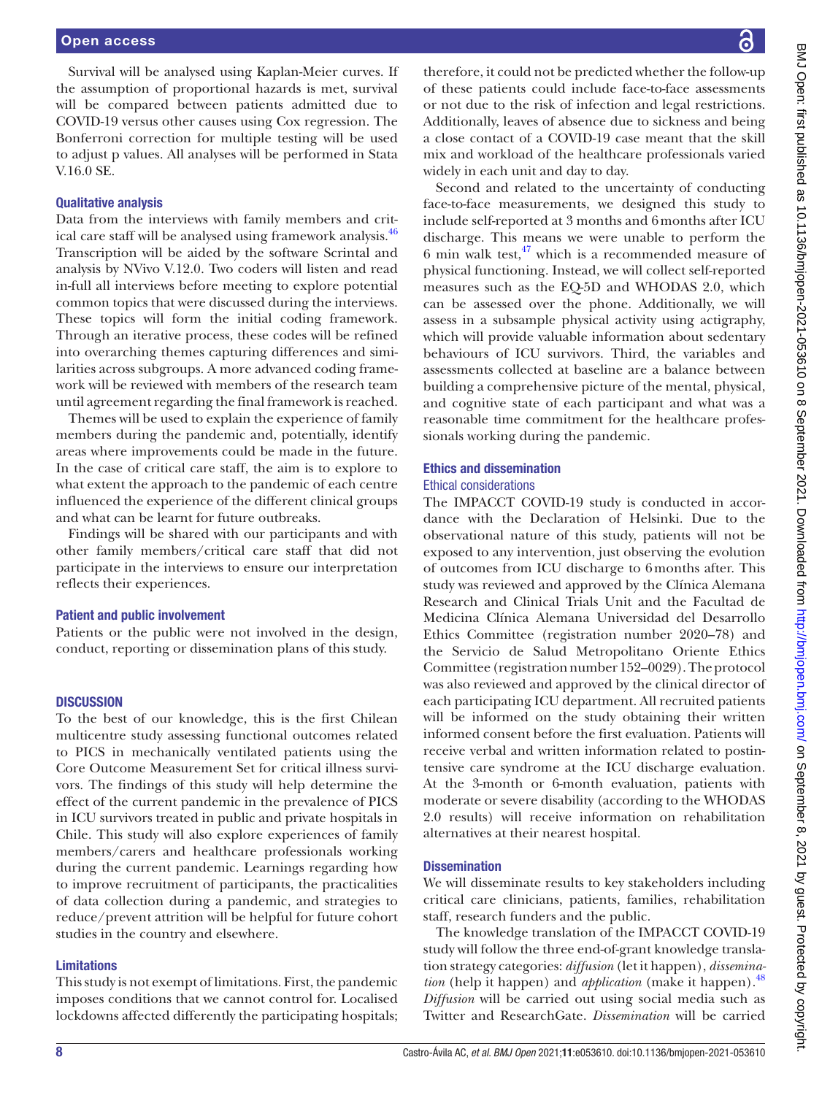Survival will be analysed using Kaplan-Meier curves. If the assumption of proportional hazards is met, survival will be compared between patients admitted due to COVID-19 versus other causes using Cox regression. The Bonferroni correction for multiple testing will be used to adjust p values. All analyses will be performed in Stata V.16.0 SE.

#### Qualitative analysis

Data from the interviews with family members and critical care staff will be analysed using framework analysis.<sup>46</sup> Transcription will be aided by the software Scrintal and analysis by NVivo V.12.0. Two coders will listen and read in-full all interviews before meeting to explore potential common topics that were discussed during the interviews. These topics will form the initial coding framework. Through an iterative process, these codes will be refined into overarching themes capturing differences and similarities across subgroups. A more advanced coding framework will be reviewed with members of the research team until agreement regarding the final framework is reached.

Themes will be used to explain the experience of family members during the pandemic and, potentially, identify areas where improvements could be made in the future. In the case of critical care staff, the aim is to explore to what extent the approach to the pandemic of each centre influenced the experience of the different clinical groups and what can be learnt for future outbreaks.

Findings will be shared with our participants and with other family members/critical care staff that did not participate in the interviews to ensure our interpretation reflects their experiences.

#### Patient and public involvement

Patients or the public were not involved in the design, conduct, reporting or dissemination plans of this study.

#### **DISCUSSION**

To the best of our knowledge, this is the first Chilean multicentre study assessing functional outcomes related to PICS in mechanically ventilated patients using the Core Outcome Measurement Set for critical illness survivors. The findings of this study will help determine the effect of the current pandemic in the prevalence of PICS in ICU survivors treated in public and private hospitals in Chile. This study will also explore experiences of family members/carers and healthcare professionals working during the current pandemic. Learnings regarding how to improve recruitment of participants, the practicalities of data collection during a pandemic, and strategies to reduce/prevent attrition will be helpful for future cohort studies in the country and elsewhere.

#### Limitations

This study is not exempt of limitations. First, the pandemic imposes conditions that we cannot control for. Localised lockdowns affected differently the participating hospitals;

therefore, it could not be predicted whether the follow-up of these patients could include face-to-face assessments or not due to the risk of infection and legal restrictions. Additionally, leaves of absence due to sickness and being a close contact of a COVID-19 case meant that the skill mix and workload of the healthcare professionals varied widely in each unit and day to day.

Second and related to the uncertainty of conducting face-to-face measurements, we designed this study to include self-reported at 3 months and 6months after ICU discharge. This means we were unable to perform the 6 min walk test, $^{47}$  which is a recommended measure of physical functioning. Instead, we will collect self-reported measures such as the EQ-5D and WHODAS 2.0, which can be assessed over the phone. Additionally, we will assess in a subsample physical activity using actigraphy, which will provide valuable information about sedentary behaviours of ICU survivors. Third, the variables and assessments collected at baseline are a balance between building a comprehensive picture of the mental, physical, and cognitive state of each participant and what was a reasonable time commitment for the healthcare professionals working during the pandemic.

### Ethics and dissemination

#### Ethical considerations

The IMPACCT COVID-19 study is conducted in accordance with the Declaration of Helsinki. Due to the observational nature of this study, patients will not be exposed to any intervention, just observing the evolution of outcomes from ICU discharge to 6months after. This study was reviewed and approved by the Clínica Alemana Research and Clinical Trials Unit and the Facultad de Medicina Clínica Alemana Universidad del Desarrollo Ethics Committee (registration number 2020–78) and the Servicio de Salud Metropolitano Oriente Ethics Committee (registration number 152–0029). The protocol was also reviewed and approved by the clinical director of each participating ICU department. All recruited patients will be informed on the study obtaining their written informed consent before the first evaluation. Patients will receive verbal and written information related to postintensive care syndrome at the ICU discharge evaluation. At the 3-month or 6-month evaluation, patients with moderate or severe disability (according to the WHODAS 2.0 results) will receive information on rehabilitation alternatives at their nearest hospital.

### **Dissemination**

We will disseminate results to key stakeholders including critical care clinicians, patients, families, rehabilitation staff, research funders and the public.

The knowledge translation of the IMPACCT COVID-19 study will follow the three end-of-grant knowledge translation strategy categories: *diffusion* (let it happen), *dissemination* (help it happen) and *application* (make it happen).<sup>[48](#page-9-15)</sup> *Diffusion* will be carried out using social media such as Twitter and ResearchGate. *Dissemination* will be carried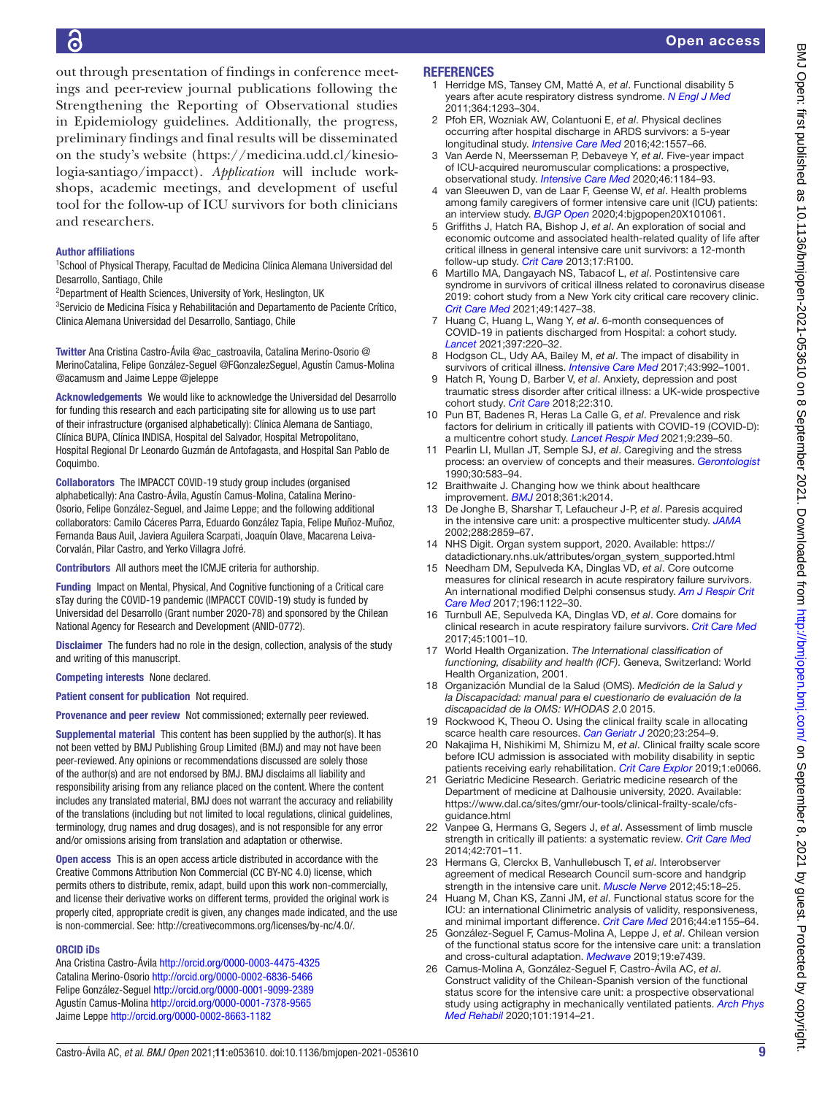out through presentation of findings in conference meetings and peer-review journal publications following the Strengthening the Reporting of Observational studies in Epidemiology guidelines. Additionally, the progress, preliminary findings and final results will be disseminated on the study's website ([https://medicina.udd.cl/kinesio](https://medicina.udd.cl/kinesiologia-santiago/impacct)[logia-santiago/impacct](https://medicina.udd.cl/kinesiologia-santiago/impacct)). *Application* will include workshops, academic meetings, and development of useful tool for the follow-up of ICU survivors for both clinicians **REFERENCES** 

## Author affiliations

and researchers.

<sup>1</sup>School of Physical Therapy, Facultad de Medicina Clínica Alemana Universidad del Desarrollo, Santiago, Chile

<sup>2</sup>Department of Health Sciences, University of York, Heslington, UK

3 Servicio de Medicina Física y Rehabilitación and Departamento de Paciente Crítico, Clinica Alemana Universidad del Desarrollo, Santiago, Chile

Twitter Ana Cristina Castro-Ávila [@ac\\_castroavila,](https://twitter.com/ac_castroavila) Catalina Merino-Osorio [@](https://twitter.com/MerinoCatalina) [MerinoCatalina,](https://twitter.com/MerinoCatalina) Felipe González-Seguel [@FGonzalezSeguel,](https://twitter.com/FGonzalezSeguel) Agustín Camus-Molina [@acamusm](https://twitter.com/acamusm) and Jaime Leppe [@jeleppe](https://twitter.com/jeleppe)

Acknowledgements We would like to acknowledge the Universidad del Desarrollo for funding this research and each participating site for allowing us to use part of their infrastructure (organised alphabetically): Clínica Alemana de Santiago, Clínica BUPA, Clínica INDISA, Hospital del Salvador, Hospital Metropolitano, Hospital Regional Dr Leonardo Guzmán de Antofagasta, and Hospital San Pablo de Coquimbo.

Collaborators The IMPACCT COVID-19 study group includes (organised alphabetically): Ana Castro-Ávila, Agustín Camus-Molina, Catalina Merino-Osorio, Felipe González-Seguel, and Jaime Leppe; and the following additional collaborators: Camilo Cáceres Parra, Eduardo González Tapia, Felipe Muñoz-Muñoz, Fernanda Baus Auil, Javiera Aguilera Scarpati, Joaquín Olave, Macarena Leiva-Corvalán, Pilar Castro, and Yerko Villagra Jofré.

Contributors All authors meet the ICMJE criteria for authorship.

Funding Impact on Mental, Physical, And Cognitive functioning of a Critical care sTay during the COVID-19 pandemic (IMPACCT COVID-19) study is funded by Universidad del Desarrollo (Grant number 2020-78) and sponsored by the Chilean National Agency for Research and Development (ANID-0772).

Disclaimer The funders had no role in the design, collection, analysis of the study and writing of this manuscript.

Competing interests None declared.

Patient consent for publication Not required.

Provenance and peer review Not commissioned; externally peer reviewed.

Supplemental material This content has been supplied by the author(s). It has not been vetted by BMJ Publishing Group Limited (BMJ) and may not have been peer-reviewed. Any opinions or recommendations discussed are solely those of the author(s) and are not endorsed by BMJ. BMJ disclaims all liability and responsibility arising from any reliance placed on the content. Where the content includes any translated material, BMJ does not warrant the accuracy and reliability of the translations (including but not limited to local regulations, clinical guidelines, terminology, drug names and drug dosages), and is not responsible for any error and/or omissions arising from translation and adaptation or otherwise.

Open access This is an open access article distributed in accordance with the Creative Commons Attribution Non Commercial (CC BY-NC 4.0) license, which permits others to distribute, remix, adapt, build upon this work non-commercially, and license their derivative works on different terms, provided the original work is properly cited, appropriate credit is given, any changes made indicated, and the use is non-commercial. See: [http://creativecommons.org/licenses/by-nc/4.0/.](http://creativecommons.org/licenses/by-nc/4.0/)

## ORCID iDs

Ana Cristina Castro-Ávila <http://orcid.org/0000-0003-4475-4325> Catalina Merino-Osorio<http://orcid.org/0000-0002-6836-5466> Felipe González-Seguel<http://orcid.org/0000-0001-9099-2389> Agustín Camus-Molina<http://orcid.org/0000-0001-7378-9565> Jaime Leppe<http://orcid.org/0000-0002-8663-1182>

- <span id="page-8-0"></span>1 Herridge MS, Tansey CM, Matté A, *et al*. Functional disability 5 years after acute respiratory distress syndrome. *[N Engl J Med](http://dx.doi.org/10.1056/NEJMoa1011802)* 2011;364:1293–304.
- 2 Pfoh ER, Wozniak AW, Colantuoni E, *et al*. Physical declines occurring after hospital discharge in ARDS survivors: a 5-year longitudinal study. *[Intensive Care Med](http://dx.doi.org/10.1007/s00134-016-4530-1)* 2016;42:1557–66.
- 3 Van Aerde N, Meersseman P, Debaveye Y, *et al*. Five-year impact of ICU-acquired neuromuscular complications: a prospective, observational study. *[Intensive Care Med](http://dx.doi.org/10.1007/s00134-020-05927-5)* 2020;46:1184–93.
- <span id="page-8-1"></span>4 van Sleeuwen D, van de Laar F, Geense W, *et al*. Health problems among family caregivers of former intensive care unit (ICU) patients: an interview study. *[BJGP Open](http://dx.doi.org/10.3399/bjgpopen20X101061)* 2020;4:bjgpopen20X101061.
- <span id="page-8-2"></span>5 Griffiths J, Hatch RA, Bishop J, *et al*. An exploration of social and economic outcome and associated health-related quality of life after critical illness in general intensive care unit survivors: a 12-month follow-up study. *[Crit Care](http://dx.doi.org/10.1186/cc12745)* 2013;17:R100.
- <span id="page-8-3"></span>6 Martillo MA, Dangayach NS, Tabacof L, *et al*. Postintensive care syndrome in survivors of critical illness related to coronavirus disease 2019: cohort study from a New York city critical care recovery clinic. *[Crit Care Med](http://dx.doi.org/10.1097/CCM.0000000000005014)* 2021;49:1427–38.
- <span id="page-8-4"></span>7 Huang C, Huang L, Wang Y, *et al*. 6-month consequences of COVID-19 in patients discharged from Hospital: a cohort study. *[Lancet](http://dx.doi.org/10.1016/S0140-6736(20)32656-8)* 2021;397:220–32.
- <span id="page-8-5"></span>8 Hodgson CL, Udy AA, Bailey M, *et al*. The impact of disability in survivors of critical illness. *[Intensive Care Med](http://dx.doi.org/10.1007/s00134-017-4830-0)* 2017;43:992–1001.
- 9 Hatch R, Young D, Barber V, *et al*. Anxiety, depression and post traumatic stress disorder after critical illness: a UK-wide prospective cohort study. *[Crit Care](http://dx.doi.org/10.1186/s13054-018-2223-6)* 2018;22:310.
- <span id="page-8-6"></span>10 Pun BT, Badenes R, Heras La Calle G, *et al*. Prevalence and risk factors for delirium in critically ill patients with COVID-19 (COVID-D): a multicentre cohort study. *[Lancet Respir Med](http://dx.doi.org/10.1016/S2213-2600(20)30552-X)* 2021;9:239–50.
- <span id="page-8-7"></span>11 Pearlin LI, Mullan JT, Semple SJ, *et al*. Caregiving and the stress process: an overview of concepts and their measures. *[Gerontologist](http://dx.doi.org/10.1093/geront/30.5.583)* 1990;30:583–94.
- <span id="page-8-8"></span>12 Braithwaite J. Changing how we think about healthcare improvement. *[BMJ](http://dx.doi.org/10.1136/bmj.k2014)* 2018;361:k2014.
- <span id="page-8-9"></span>13 De Jonghe B, Sharshar T, Lefaucheur J-P, *et al*. Paresis acquired in the intensive care unit: a prospective multicenter study. *[JAMA](http://dx.doi.org/10.1001/jama.288.22.2859)* 2002;288:2859–67.
- <span id="page-8-10"></span>14 NHS Digit. Organ system support, 2020. Available: [https://](https://datadictionary.nhs.uk/attributes/organ_system_supported.html) [datadictionary.nhs.uk/attributes/organ\\_system\\_supported.html](https://datadictionary.nhs.uk/attributes/organ_system_supported.html)
- <span id="page-8-11"></span>15 Needham DM, Sepulveda KA, Dinglas VD, *et al*. Core outcome measures for clinical research in acute respiratory failure survivors. An international modified Delphi consensus study. *[Am J Respir Crit](http://dx.doi.org/10.1164/rccm.201702-0372OC)  [Care Med](http://dx.doi.org/10.1164/rccm.201702-0372OC)* 2017;196:1122–30.
- 16 Turnbull AE, Sepulveda KA, Dinglas VD, *et al*. Core domains for clinical research in acute respiratory failure survivors. *[Crit Care Med](http://dx.doi.org/10.1097/CCM.0000000000002435)* 2017;45:1001–10.
- <span id="page-8-12"></span>17 World Health Organization. *The International classification of functioning, disability and health (ICF)*. Geneva, Switzerland: World Health Organization, 2001.
- <span id="page-8-13"></span>18 Organización Mundial de la Salud (OMS). *Medición de la Salud y la Discapacidad: manual para el cuestionario de evaluación de la discapacidad de la OMS: WHODAS 2*.0 2015.
- <span id="page-8-14"></span>19 Rockwood K, Theou O. Using the clinical frailty scale in allocating scarce health care resources. *[Can Geriatr J](http://dx.doi.org/10.5770/cgj.23.463)* 2020;23:254–9.
- <span id="page-8-15"></span>20 Nakajima H, Nishikimi M, Shimizu M, *et al*. Clinical frailty scale score before ICU admission is associated with mobility disability in septic patients receiving early rehabilitation. *[Crit Care Explor](http://dx.doi.org/10.1097/CCE.0000000000000066)* 2019;1:e0066.
- 21 Geriatric Medicine Research. Geriatric medicine research of the Department of medicine at Dalhousie university, 2020. Available: [https://www.dal.ca/sites/gmr/our-tools/clinical-frailty-scale/cfs](https://www.dal.ca/sites/gmr/our-tools/clinical-frailty-scale/cfs-guidance.html)[guidance.html](https://www.dal.ca/sites/gmr/our-tools/clinical-frailty-scale/cfs-guidance.html)
- <span id="page-8-16"></span>22 Vanpee G, Hermans G, Segers J, *et al*. Assessment of limb muscle strength in critically ill patients: a systematic review. *[Crit Care Med](http://dx.doi.org/10.1097/CCM.0000000000000030)* 2014;42:701–11.
- <span id="page-8-17"></span>23 Hermans G, Clerckx B, Vanhullebusch T, *et al*. Interobserver agreement of medical Research Council sum-score and handgrip strength in the intensive care unit. *[Muscle Nerve](http://dx.doi.org/10.1002/mus.22219)* 2012;45:18–25.
- <span id="page-8-18"></span>24 Huang M, Chan KS, Zanni JM, *et al*. Functional status score for the ICU: an international Clinimetric analysis of validity, responsiveness, and minimal important difference. *[Crit Care Med](http://dx.doi.org/10.1097/CCM.0000000000001949)* 2016;44:e1155–64.
- <span id="page-8-19"></span>25 González-Seguel F, Camus-Molina A, Leppe J, *et al*. Chilean version of the functional status score for the intensive care unit: a translation and cross-cultural adaptation. *[Medwave](http://dx.doi.org/10.5867/medwave.2019.01.7439)* 2019;19:e7439.
- 26 Camus-Molina A, González-Seguel F, Castro-Ávila AC, *et al*. Construct validity of the Chilean-Spanish version of the functional status score for the intensive care unit: a prospective observational study using actigraphy in mechanically ventilated patients. *[Arch Phys](http://dx.doi.org/10.1016/j.apmr.2020.04.019)  [Med Rehabil](http://dx.doi.org/10.1016/j.apmr.2020.04.019)* 2020;101:1914–21.